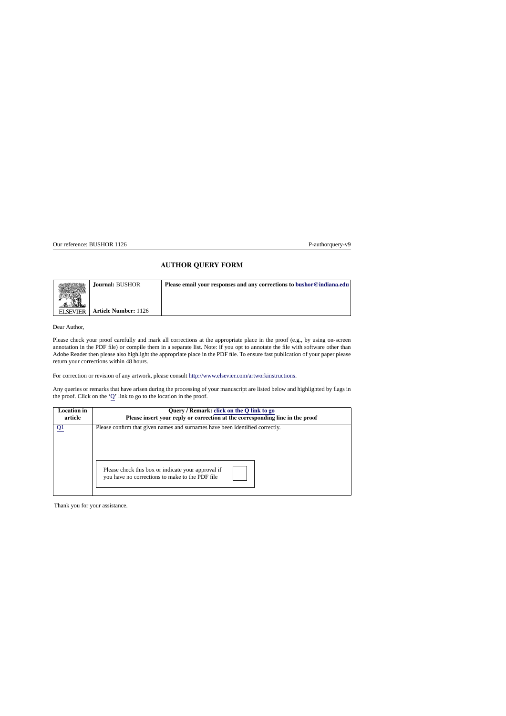# **AUTHOR QUERY FORM**

|                  | <b>Journal: BUSHOR</b>      | Please email your responses and any corrections to bushor@indiana.edu |
|------------------|-----------------------------|-----------------------------------------------------------------------|
| <b>FI SEVIER</b> | <b>Article Number: 1126</b> |                                                                       |

Dear Author,

<span id="page-0-0"></span>Please check your proof carefully and mark all corrections at the appropriate place in the proof (e.g., by using on-screen annotation in the PDF file) or compile them in a separate list. Note: if you opt to annotate the file with software other than Adobe Reader then please also highlight the appropriate place in the PDF file. To ensure fast publication of your paper please return your corrections within 48 hours.

For correction or revision of any artwork, please consult [http://www.elsevier.com/artworkinstructions.](http://www.elsevier.com/artworkinstructions)

Any queries or remarks that have arisen during the processing of your manuscript are listed below and highlighted by flags in the proof. Click on the 'Q' link to go to the location in the proof.

| Location in | Query / Remark: click on the Q link to go                                                             |  |  |
|-------------|-------------------------------------------------------------------------------------------------------|--|--|
| article     | Please insert your reply or correction at the corresponding line in the proof                         |  |  |
| Q1          | Please confirm that given names and surnames have been identified correctly.                          |  |  |
|             | Please check this box or indicate your approval if<br>you have no corrections to make to the PDF file |  |  |

Thank you for your assistance.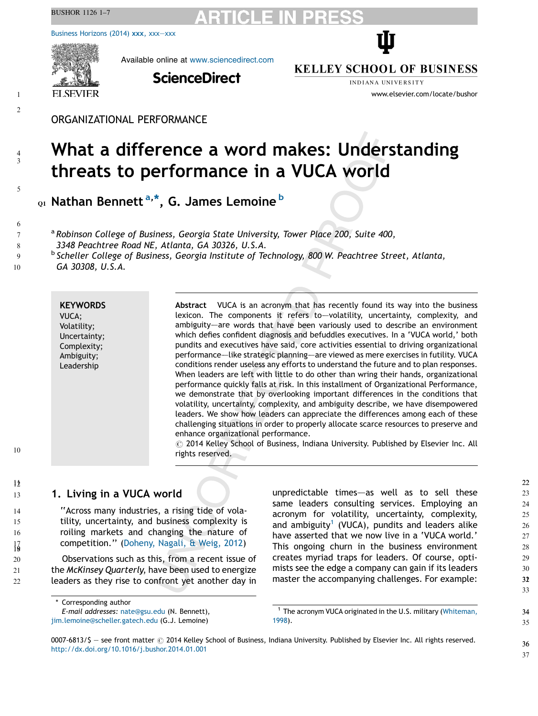Business [Horizons](http://dx.doi.org/10.1016/j.bushor.2014.01.001) (2014) xxx, xxx—xxx



 $\mathcal{L}$ 

3 4

5

10

Available online at [www.sciencedirect.com](http://www.sciencedirect.com/science/journal/00076813)

**ScienceDirect** 

**KELLEY SCHOOL OF BUSINESS** 

Ŵ

INDIANA UNIVERSITY 1 www.elsevier.com/locate/bushor

ORGANIZATIONAL PERFORMANCE

# What a difference a word makes: Understanding threats to performance in a VUCA world

 $_{\tiny \textrm{\tiny{Q1}}}$  $_{\tiny \textrm{\tiny{Q1}}}$  $_{\tiny \textrm{\tiny{Q1}}}$  Nathan Bennett  $^{\mathrm{a},*}$ , G. James Lemoine  $^{\mathrm{b}}$ 

<sup>a</sup> Robinson College of Business, Georgia State University, Tower Place 200, Suite 400,

3348 Peachtree Road NE, Atlanta, GA 30326, U.S.A.

<sup>b</sup> Scheller College of Business, Georgia Institute of Technology, 800 W. Peachtree Street, Atlanta,

<span id="page-1-0"></span>GA 30308, U.S.A.

## 1. Living in a VUCA world

''Across many industries, a rising tide of volatility, uncertainty, and business complexity is roiling markets and changing the nature of competition.'' [\(Doheny,](#page-7-0) Nagali, & Weig, 2012)

Observations such as this, from a recent issue of the McKinsey Quarterly, have been used to energize leaders as they rise to confront yet another day in unpredictable times-as well as to sell these

34 35

<sup>\*</sup> Corresponding author

E-mail addresses: [nate@gsu.edu](mailto:nate@gsu.edu) (N. Bennett), [jim.lemoine@scheller.gatech.edu](mailto:jim.lemoine@scheller.gatech.edu) (G.J. Lemoine)

same leaders consulting services. Employing an acronym for volatility, uncertainty, complexity, and ambiguity<sup>1</sup> (VUCA), pundits and leaders alike have asserted that we now live in a 'VUCA world.' This ongoing churn in the business environment creates myriad traps for leaders. Of course, optimists see the edge a company can gain if its leaders master the accompanying challenges. For example:

<sup>&</sup>lt;sup>1</sup> The acronym VUCA originated in the U.S. military [\(Whiteman,](#page-7-0) [1998](#page-7-0)).

<sup>0007-6813/\$ -</sup> see front matter  $\odot$  2014 Kelley School of Business, Indiana University. Published by Elsevier Inc. All rights reserved. <http://dx.doi.org/10.1016/j.bushor.2014.01.001>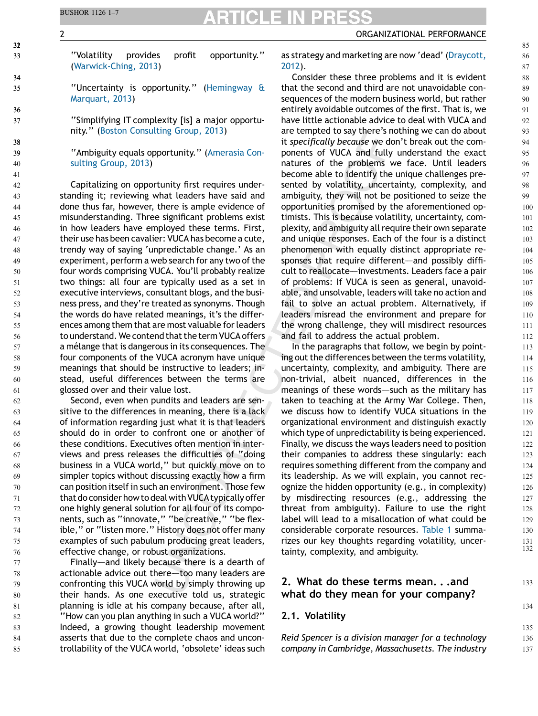### 2 ORGANIZATIONAL PERFORMANCE

133

134

135 136 137

| ï<br>×<br>٠ |
|-------------|

35

36 37 32<br>33<br>34<br>35<br>36<br>37<br>38<br>39<br>40

38

39

41

40

42 43

44

45

46 47

53 54 55

> 56 57

58

59 60

61

62 63 64

65 66

67 68 69

70

71 72 73

74 75 76

> 78 79

77

80 81 82

83 84 85

''Volatility provides profit opportunity.'' ([Warwick-Ching,](#page-7-0) 2013)

''Uncertainty is opportunity.'' ([Hemingway](#page-7-0) & [Marquart,](#page-7-0) 2013)

''Simplifying IT complexity [is] a major opportunity.'' (Boston [Consulting](#page-7-0) Group, 2013)

''Ambiguity equals opportunity.'' [\(Amerasia](#page-7-0) Consulting [Group,](#page-7-0) 2013)

Capitalizing on opportunity first requires understanding it; reviewing what leaders have said and done thus far, however, there is ample evidence of misunderstanding. Three significant problems exist in how leaders have employed these terms. First, their use has been cavalier: VUCA has become a cute, trendy way of saying 'unpredictable change.' As an experiment, perform a web search for any two of the four words comprising VUCA. You'll probably realize two things: all four are typically used as a set in executive interviews, consultant blogs, and the business press, and they're treated as synonyms. Though the words do have related meanings, it's the differences among them that are most valuable forleaders to understand. We contend that the term VUCA offers a mélange that is dangerous in its consequences. The four components of the VUCA acronym have unique meanings that should be instructive to leaders; instead, useful differences between the terms are glossed over and their value lost.

Second, even when pundits and leaders are sensitive to the differences in meaning, there is a lack of information regarding just what it is that leaders should do in order to confront one or another of these conditions. Executives often mention in interviews and press releases the difficulties of ''doing business in a VUCA world,'' but quickly move on to simpler topics without discussing exactly how a firm can position itself in such an environment. Those few that do consider how to deal with VUCA typically offer one highly general solution for all four of its components, such as ''innovate,'' ''be creative,'' ''be flexible,'' or ''listen more.'' History does not offer many examples of such pabulum producing great leaders, effective change, or robust organizations.

Finally–—and likely because there is a dearth of actionable advice out there-too many leaders are confronting this VUCA world by simply throwing up their hands. As one executive told us, strategic planning is idle at his company because, after all, ''How can you plan anything in such a VUCA world?'' Indeed, a growing thought leadership movement asserts that due to the complete chaos and uncontrollability of the VUCA world, 'obsolete' ideas such as strategy and marketing are now 'dead' ([Draycott,](#page-7-0) [2012](#page-7-0)).

Consider these three problems and it is evident that the second and third are not unavoidable consequences of the modern business world, but rather entirely avoidable outcomes of the first. That is, we have little actionable advice to deal with VUCA and are tempted to say there's nothing we can do about it specifically because we don't break out the components of VUCA and fully understand the exact natures of the problems we face. Until leaders become able to identify the unique challenges presented by volatility, uncertainty, complexity, and ambiguity, they will not be positioned to seize the opportunities promised by the aforementioned optimists. This is because volatility, uncertainty, complexity, and ambiguity all require their own separate and unique responses. Each of the four is a distinct phenomenon with equally distinct appropriate responses that require different—and possibly difficult to reallocate–—investments. Leaders face a pair of problems: If VUCA is seen as general, unavoidable, and unsolvable, leaders will take no action and fail to solve an actual problem. Alternatively, if leaders misread the environment and prepare for the wrong challenge, they will misdirect resources and fail to address the actual problem.

In the paragraphs that follow, we begin by pointing out the differences between the terms volatility, uncertainty, complexity, and ambiguity. There are non-trivial, albeit nuanced, differences in the meanings of these words–—such as the military has taken to teaching at the Army War College. Then, we discuss how to identify VUCA situations in the organizational environment and distinguish exactly which type of unpredictability is being experienced. Finally, we discuss the ways leaders need to position their companies to address these singularly: each requires something different from the company and its leadership. As we will explain, you cannot recognize the hidden opportunity (e.g., in complexity) by misdirecting resources (e.g., addressing the threat from ambiguity). Failure to use the right label will lead to a misallocation of what could be considerable corporate resources. [Table](#page-3-0) 1 summarizes our key thoughts regarding volatility, uncertainty, complexity, and ambiguity.

## 2. What do these terms mean. . .and what do they mean for your company?

## 2.1. Volatility

Reid Spencer is a division manager for a technology company in Cambridge, Massachusetts. The industry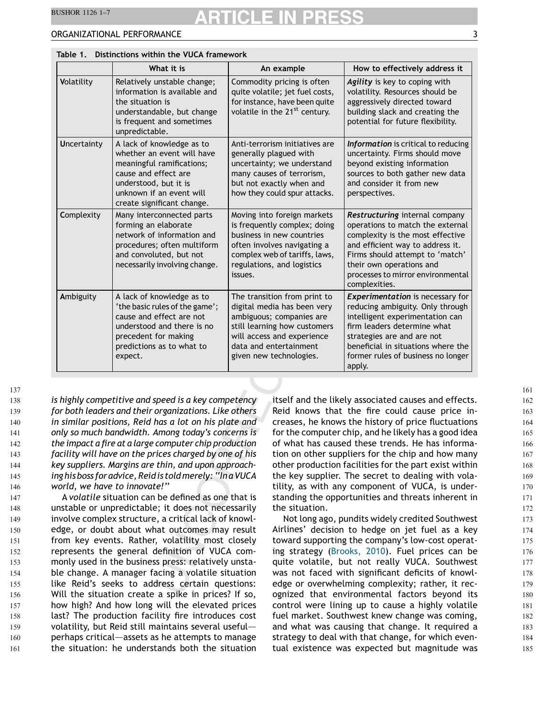#### <span id="page-3-0"></span>ORGANIZATIONAL PERFORMANCE 3

|                    | What it is                                                                                                                                                                                      | An example                                                                                                                                                                                                 | How to effectively address it                                                                                                                                                                                                                                     |
|--------------------|-------------------------------------------------------------------------------------------------------------------------------------------------------------------------------------------------|------------------------------------------------------------------------------------------------------------------------------------------------------------------------------------------------------------|-------------------------------------------------------------------------------------------------------------------------------------------------------------------------------------------------------------------------------------------------------------------|
| Volatility         | Relatively unstable change;<br>information is available and<br>the situation is<br>understandable, but change<br>is frequent and sometimes<br>unpredictable.                                    | Commodity pricing is often<br>quite volatile; jet fuel costs,<br>for instance, have been quite<br>volatile in the 21 <sup>st</sup> century.                                                                | Agility is key to coping with<br>volatility. Resources should be<br>aggressively directed toward<br>building slack and creating the<br>potential for future flexibility.                                                                                          |
| <b>Uncertainty</b> | A lack of knowledge as to<br>whether an event will have<br>meaningful ramifications;<br>cause and effect are<br>understood, but it is<br>unknown if an event will<br>create significant change. | Anti-terrorism initiatives are<br>generally plagued with<br>uncertainty; we understand<br>many causes of terrorism,<br>but not exactly when and<br>how they could spur attacks.                            | <b>Information</b> is critical to reducing<br>uncertainty. Firms should move<br>beyond existing information<br>sources to both gather new data<br>and consider it from new<br>perspectives.                                                                       |
| Complexity         | Many interconnected parts<br>forming an elaborate<br>network of information and<br>procedures; often multiform<br>and convoluted, but not<br>necessarily involving change.                      | Moving into foreign markets<br>is frequently complex; doing<br>business in new countries<br>often involves navigating a<br>complex web of tariffs, laws,<br>regulations, and logistics<br>issues.          | Restructuring internal company<br>operations to match the external<br>complexity is the most effective<br>and efficient way to address it.<br>Firms should attempt to 'match'<br>their own operations and<br>processes to mirror environmental<br>complexities.   |
| Ambiguity          | A lack of knowledge as to<br>'the basic rules of the game';<br>cause and effect are not<br>understood and there is no<br>precedent for making<br>predictions as to what to<br>expect.           | The transition from print to<br>digital media has been very<br>ambiguous; companies are<br>still learning how customers<br>will access and experience<br>data and entertainment<br>given new technologies. | <b>Experimentation</b> is necessary for<br>reducing ambiguity. Only through<br>intelligent experimentation can<br>firm leaders determine what<br>strategies are and are not<br>beneficial in situations where the<br>former rules of business no longer<br>apply. |

#### Table 1. Distinctions within the VUCA framework

137 138 139

is highly competitive and speed is a key competency for both leaders and their organizations. Like others in similar positions, Reid has a lot on his plate and only so much bandwidth. Among today's concerns is the impact a fire at a large computer chip production facility will have on the prices charged by one of his key suppliers. Margins are thin, and upon approaching his bossfor advice, Reid is told merely:''In a VUCA world, we have to innovate!''

A volatile situation can be defined as one that is unstable or unpredictable; it does not necessarily involve complex structure, a critical lack of knowledge, or doubt about what outcomes may result from key events. Rather, volatility most closely represents the general definition of VUCA commonly used in the business press: relatively unstable change. A manager facing a volatile situation like Reid's seeks to address certain questions: Will the situation create a spike in prices? If so, how high? And how long will the elevated prices last? The production facility fire introduces cost volatility, but Reid still maintains several useful– perhaps critical–—assets as he attempts to manage the situation: he understands both the situation 147 148 149 150 151 152 153 154 155 156 157 158 159 160 161

itself and the likely associated causes and effects. Reid knows that the fire could cause price increases, he knows the history of price fluctuations for the computer chip, and he likely has a good idea of what has caused these trends. He has information on other suppliers for the chip and how many other production facilities for the part exist within the key supplier. The secret to dealing with volatility, as with any component of VUCA, is understanding the opportunities and threats inherent in the situation.

Not long ago, pundits widely credited Southwest Airlines' decision to hedge on jet fuel as a key toward supporting the company's low-cost operating strategy ([Brooks,](#page-7-0) 2010). Fuel prices can be quite volatile, but not really VUCA. Southwest was not faced with significant deficits of knowledge or overwhelming complexity; rather, it recognized that environmental factors beyond its control were lining up to cause a highly volatile fuel market. Southwest knew change was coming, and what was causing that change. It required a strategy to deal with that change, for which eventual existence was expected but magnitude was

161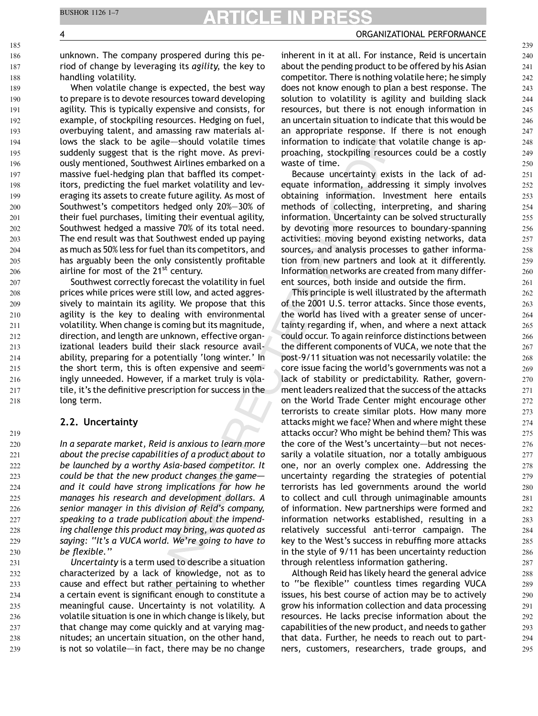# **RTICLE IN**

#### 4 ORGANIZATIONAL PERFORMANCE

185 186

unknown. The company prospered during this period of change by leveraging its agility, the key to handling volatility.

When volatile change is expected, the best way to prepare is to devote resources toward developing agility. This is typically expensive and consists, for example, of stockpiling resources. Hedging on fuel, overbuying talent, and amassing raw materials allows the slack to be agile-should volatile times suddenly suggest that is the right move. As previously mentioned, Southwest Airlines embarked on a massive fuel-hedging plan that baffled its competitors, predicting the fuel market volatility and leveraging its assets to create future agility. As most of Southwest's competitors hedged only 20%—30% of their fuel purchases, limiting their eventual agility, Southwest hedged a massive 70% of its total need. The end result was that Southwest ended up paying as much as 50% less for fuel than its competitors, and has arguably been the only consistently profitable airline for most of the 21<sup>st</sup> century.

Southwest correctly forecast the volatility in fuel prices while prices were still low, and acted aggressively to maintain its agility. We propose that this agility is the key to dealing with environmental volatility. When change is coming but its magnitude, direction, and length are unknown, effective organizational leaders build their slack resource availability, preparing for a potentially 'long winter.' In the short term, this is often expensive and seemingly unneeded. However, if a market truly is volatile, it's the definitive prescription for success in the long term.

## 2.2. Uncertainty

In a separate market, Reid is anxious to learn more about the precise capabilities of a product about to be launched by a worthy Asia-based competitor. It could be that the new product changes the game– and it could have strong implications for how he manages his research and development dollars. A senior manager in this division of Reid's company, speaking to a trade publication about the impending challenge this product may bring, was quoted as saying: ''It's a VUCA world. We're going to have to be flexible.''

Uncertainty is a term used to describe a situation characterized by a lack of knowledge, not as to cause and effect but rather pertaining to whether a certain event is significant enough to constitute a meaningful cause. Uncertainty is not volatility. A volatile situation is one in which change is likely, but that change may come quickly and at varying magnitudes; an uncertain situation, on the other hand, is not so volatile–—in fact, there may be no change inherent in it at all. For instance, Reid is uncertain about the pending product to be offered by his Asian competitor. There is nothing volatile here; he simply does not know enough to plan a best response. The solution to volatility is agility and building slack resources, but there is not enough information in an uncertain situation to indicate that this would be an appropriate response. If there is not enough information to indicate that volatile change is approaching, stockpiling resources could be a costly waste of time.

Because uncertainty exists in the lack of adequate information, addressing it simply involves obtaining information. Investment here entails methods of collecting, interpreting, and sharing information. Uncertainty can be solved structurally by devoting more resources to boundary-spanning activities: moving beyond existing networks, data sources, and analysis processes to gather information from new partners and look at it differently. Information networks are created from many different sources, both inside and outside the firm.

This principle is well illustrated by the aftermath of the 2001 U.S. terror attacks. Since those events, the world has lived with a greater sense of uncertainty regarding if, when, and where a next attack could occur. To again reinforce distinctions between the different components of VUCA, we note that the post-9/11 situation was not necessarily volatile: the core issue facing the world's governments was not a lack of stability or predictability. Rather, government leaders realized that the success of the attacks on the World Trade Center might encourage other terrorists to create similar plots. How many more attacks might we face? When and where might these attacks occur? Who might be behind them? This was the core of the West's uncertainty—but not necessarily a volatile situation, nor a totally ambiguous one, nor an overly complex one. Addressing the uncertainty regarding the strategies of potential terrorists has led governments around the world to collect and cull through unimaginable amounts of information. New partnerships were formed and information networks established, resulting in a relatively successful anti-terror campaign. The key to the West's success in rebuffing more attacks in the style of 9/11 has been uncertainty reduction through relentless information gathering.

Although Reid has likely heard the general advice to ''be flexible'' countless times regarding VUCA issues, his best course of action may be to actively grow his information collection and data processing resources. He lacks precise information about the capabilities of the new product, and needs to gather that data. Further, he needs to reach out to partners, customers, researchers, trade groups, and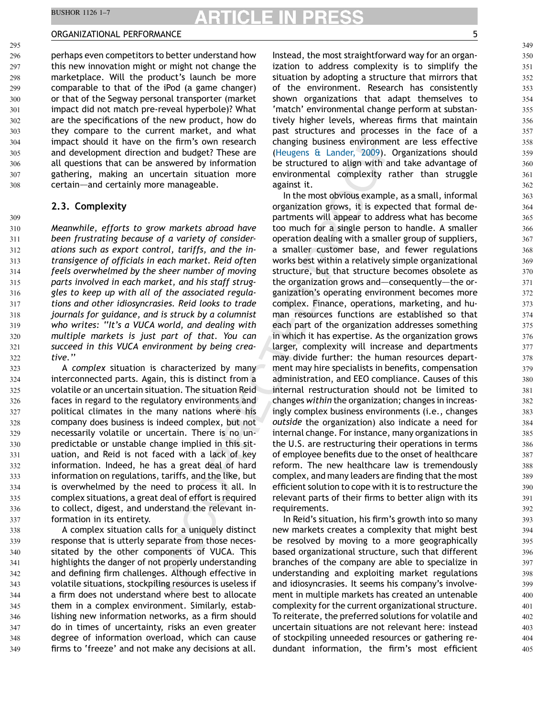BUSHOR 1126 1–7

309

# **ARTICLE IN PRE**

### ORGANIZATIONAL PERFORMANCE 5

perhaps even competitors to better understand how this new innovation might or might not change the marketplace. Will the product's launch be more comparable to that of the iPod (a game changer) or that of the Segway personal transporter (market impact did not match pre-reveal hyperbole)? What are the specifications of the new product, how do they compare to the current market, and what impact should it have on the firm's own research and development direction and budget? These are all questions that can be answered by information gathering, making an uncertain situation more certain–—and certainly more manageable.

## 2.3. Complexity

Meanwhile, efforts to grow markets abroad have been frustrating because of a variety of considerations such as export control, tariffs, and the intransigence of officials in each market. Reid often feels overwhelmed by the sheer number of moving parts involved in each market, and his staff struggles to keep up with all of the associated regulations and other idiosyncrasies. Reid looks to trade journals for guidance, and is struck by a columnist who writes: ''It's a VUCA world, and dealing with multiple markets is just part of that. You can succeed in this VUCA environment by being creative.'' 310 311 312 313 314 315 316 317 318 319 320 321 322

A complex situation is characterized by many interconnected parts. Again, this is distinct from a volatile or an uncertain situation. The situation Reid faces in regard to the regulatory environments and political climates in the many nations where his company does business is indeed complex, but not necessarily volatile or uncertain. There is no unpredictable or unstable change implied in this situation, and Reid is not faced with a lack of key information. Indeed, he has a great deal of hard information on regulations, tariffs, and the like, but is overwhelmed by the need to process it all. In complex situations, a great deal of effort is required to collect, digest, and understand the relevant information in its entirety. 323 324 325 326 327 328 329 330 331 332 333 334 335 336 337

A complex situation calls for a uniquely distinct response that is utterly separate from those necessitated by the other components of VUCA. This highlights the danger of not properly understanding and defining firm challenges. Although effective in volatile situations, stockpiling resources is useless if a firm does not understand where best to allocate them in a complex environment. Similarly, establishing new information networks, as a firm should do in times of uncertainty, risks an even greater degree of information overload, which can cause firms to 'freeze' and not make any decisions at all. 338 339 340 341 342 343 344 345 346 347 348 349

Instead, the most straightforward way for an organization to address complexity is to simplify the situation by adopting a structure that mirrors that of the environment. Research has consistently shown organizations that adapt themselves to 'match' environmental change perform at substantively higher levels, whereas firms that maintain past structures and processes in the face of a changing business environment are less effective [\(Heugens](#page-7-0) & Lander, 2009). Organizations should be structured to align with and take advantage of environmental complexity rather than struggle against it.

In the most obvious example, as a small, informal organization grows, it is expected that formal departments will appear to address what has become too much for a single person to handle. A smaller operation dealing with a smaller group of suppliers, a smaller customer base, and fewer regulations works best within a relatively simple organizational structure, but that structure becomes obsolete as the organization grows and—consequently—the organization's operating environment becomes more complex. Finance, operations, marketing, and human resources functions are established so that each part of the organization addresses something in which it has expertise. As the organization grows larger, complexity will increase and departments may divide further: the human resources department may hire specialists in benefits, compensation administration, and EEO compliance. Causes of this internal restructuration should not be limited to changes within the organization; changes in increasingly complex business environments (i.e., changes outside the organization) also indicate a need for internal change. For instance, many organizations in the U.S. are restructuring their operations in terms of employee benefits due to the onset of healthcare reform. The new healthcare law is tremendously complex, and many leaders are finding that the most efficient solution to cope with it is to restructure the relevant parts of their firms to better align with its requirements.

In Reid's situation, his firm's growth into so many new markets creates a complexity that might best be resolved by moving to a more geographically based organizational structure, such that different branches of the company are able to specialize in understanding and exploiting market regulations and idiosyncrasies. It seems his company's involvement in multiple markets has created an untenable complexity for the current organizational structure. To reiterate, the preferred solutions for volatile and uncertain situations are not relevant here: instead of stockpiling unneeded resources or gathering redundant information, the firm's most efficient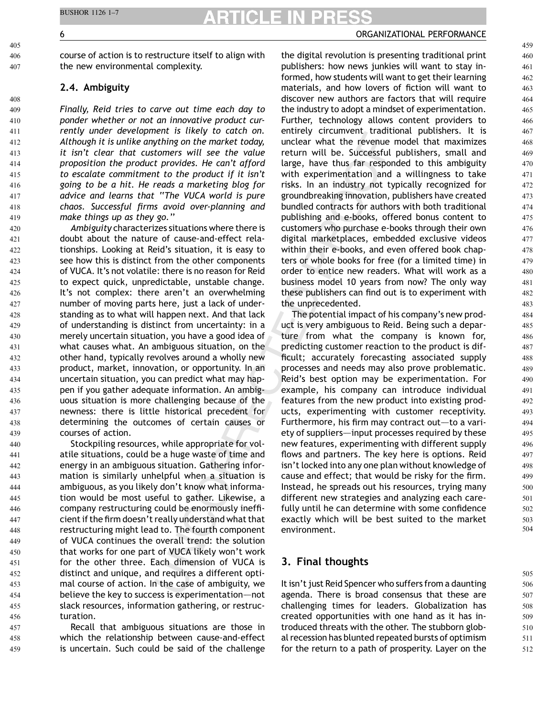# **ARTICLE IN PR**

#### 6 ORGANIZATIONAL PERFORMANCE

405 406 407

course of action is to restructure itself to align with the new environmental complexity.

# 2.4. Ambiguity

Finally, Reid tries to carve out time each day to ponder whether or not an innovative product currently under development is likely to catch on. Although it is unlike anything on the market today, it isn't clear that customers will see the value proposition the product provides. He can't afford to escalate commitment to the product if it isn't going to be a hit. He reads a marketing blog for advice and learns that ''The VUCA world is pure chaos. Successful firms avoid over-planning and make things up as they go.''

Ambiguity characterizes situations where there is doubt about the nature of cause-and-effect relationships. Looking at Reid's situation, it is easy to see how this is distinct from the other components of VUCA. It's not volatile: there is no reason for Reid to expect quick, unpredictable, unstable change. It's not complex: there aren't an overwhelming number of moving parts here, just a lack of understanding as to what will happen next. And that lack of understanding is distinct from uncertainty: in a merely uncertain situation, you have a good idea of what causes what. An ambiguous situation, on the other hand, typically revolves around a wholly new product, market, innovation, or opportunity. In an uncertain situation, you can predict what may happen if you gather adequate information. An ambiguous situation is more challenging because of the newness: there is little historical precedent for determining the outcomes of certain causes or courses of action. 420 421 422 423 424 425 426 427 428 429 430 431 432 433 434 435 436 437 438 439

Stockpiling resources, while appropriate for volatile situations, could be a huge waste of time and energy in an ambiguous situation. Gathering information is similarly unhelpful when a situation is ambiguous, as you likely don't know what information would be most useful to gather. Likewise, a company restructuring could be enormously inefficient if the firm doesn't really understand what that restructuring might lead to. The fourth component of VUCA continues the overall trend: the solution that works for one part of VUCA likely won't work for the other three. Each dimension of VUCA is distinct and unique, and requires a different optimal course of action. In the case of ambiguity, we believe the key to success is experimentation–—not slack resources, information gathering, or restructuration. 440 441 442 443 444 445 446 447 448 449 450 451 452 453 454 455 456

Recall that ambiguous situations are those in which the relationship between cause-and-effect is uncertain. Such could be said of the challenge 457 458 459

the digital revolution is presenting traditional print publishers: how news junkies will want to stay informed, how students will want to get their learning materials, and how lovers of fiction will want to discover new authors are factors that will require the industry to adopt a mindset of experimentation. Further, technology allows content providers to entirely circumvent traditional publishers. It is unclear what the revenue model that maximizes return will be. Successful publishers, small and large, have thus far responded to this ambiguity with experimentation and a willingness to take risks. In an industry not typically recognized for groundbreaking innovation, publishers have created bundled contracts for authors with both traditional publishing and e-books, offered bonus content to customers who purchase e-books through their own digital marketplaces, embedded exclusive videos within their e-books, and even offered book chapters or whole books for free (for a limited time) in order to entice new readers. What will work as a business model 10 years from now? The only way these publishers can find out is to experiment with the unprecedented.

The potential impact of his company's new product is very ambiguous to Reid. Being such a departure from what the company is known for, predicting customer reaction to the product is difficult; accurately forecasting associated supply processes and needs may also prove problematic. Reid's best option may be experimentation. For example, his company can introduce individual features from the new product into existing products, experimenting with customer receptivity. Furthermore, his firm may contract out-to a variety of suppliers–—input processes required by these new features, experimenting with different supply flows and partners. The key here is options. Reid isn't locked into any one plan without knowledge of cause and effect; that would be risky for the firm. Instead, he spreads out his resources, trying many different new strategies and analyzing each carefully until he can determine with some confidence exactly which will be best suited to the market environment.

# 3. Final thoughts

It isn't just Reid Spencer who suffers from a daunting agenda. There is broad consensus that these are challenging times for leaders. Globalization has created opportunities with one hand as it has introduced threats with the other. The stubborn global recession has blunted repeated bursts of optimism for the return to a path of prosperity. Layer on the